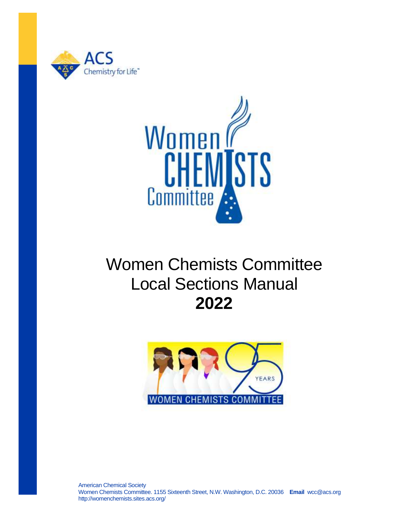



# Women Chemists Committee Local Sections Manual **2022**

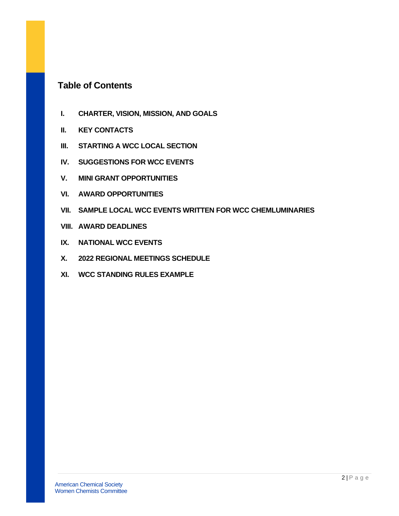# **Table of Contents**

- **I. CHARTER, VISION, MISSION, AND GOALS**
- **II. KEY CONTACTS**
- **III. STARTING A WCC LOCAL SECTION**
- **IV. SUGGESTIONS FOR WCC EVENTS**
- **V. MINI GRANT OPPORTUNITIES**
- **VI. AWARD OPPORTUNITIES**
- **VII. SAMPLE LOCAL WCC EVENTS WRITTEN FOR WCC CHEMLUMINARIES**
- **VIII. AWARD DEADLINES**
- **IX. NATIONAL WCC EVENTS**
- **X. 2022 REGIONAL MEETINGS SCHEDULE**
- **XI. WCC STANDING RULES EXAMPLE**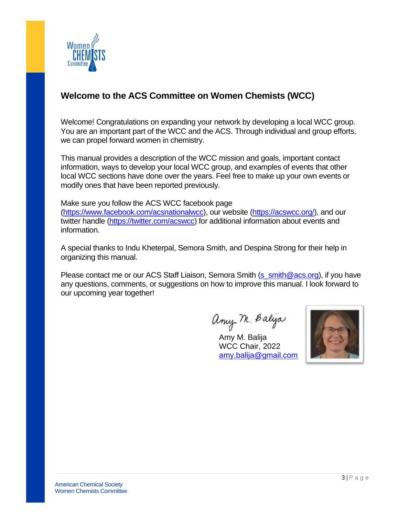

# **Welcome to the ACS Committee on Women Chemists (WCC)**

Welcome! Congratulations on expanding your network by developing a local WCC group. You are an important part of the WCC and the ACS. Through individual and group efforts, we can propel forward women in chemistry.

This manual provides a description of the WCC mission and goals, important contact information, ways to develop your local WCC group, and examples of events that other local WCC sections have done over the years. Feel free to make up your own events or modify ones that have been reported previously.

Make sure you follow the ACS WCC facebook page [\(https://www.facebook.com/acsnationalwcc\)](https://www.facebook.com/acsnationalwcc), our website [\(https://acswcc.org/\)](https://acswcc.org/), and our twitter handle [\(https://twitter.com/acswcc\)](https://twitter.com/acswcc) for additional information about events and information.

A special thanks to Indu Kheterpal, Semora Smith, and Despina Strong for their help in organizing this manual.

Please contact me or our ACS Staff Liaison, Semora Smith [\(s\\_smith@acs.org\)](mailto:s_smith@acs.org), if you have any questions, comments, or suggestions on how to improve this manual. I look forward to our upcoming year together!

any M. Balya

Amy M. Balija WCC Chair, 2022 [amy.balija@gmail.com](mailto:amy.balija@gmail.com)

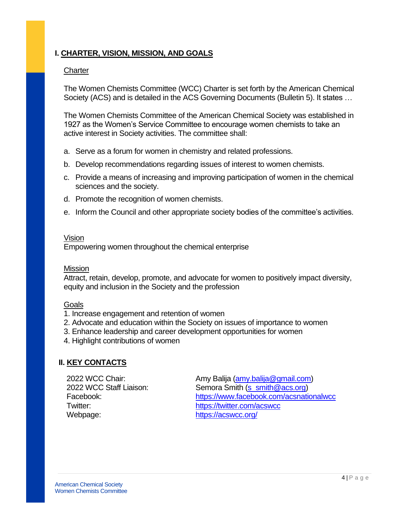# **I. CHARTER, VISION, MISSION, AND GOALS**

#### **Charter**

The Women Chemists Committee (WCC) Charter is set forth by the American Chemical Society (ACS) and is detailed in the ACS Governing Documents (Bulletin 5). It states …

The Women Chemists Committee of the American Chemical Society was established in 1927 as the Women's Service Committee to encourage women chemists to take an active interest in Society activities. The committee shall:

- a. Serve as a forum for women in chemistry and related professions.
- b. Develop recommendations regarding issues of interest to women chemists.
- c. Provide a means of increasing and improving participation of women in the chemical sciences and the society.
- d. Promote the recognition of women chemists.
- e. Inform the Council and other appropriate society bodies of the committee's activities.

## Vision

Empowering women throughout the chemical enterprise

#### Mission

Attract, retain, develop, promote, and advocate for women to positively impact diversity, equity and inclusion in the Society and the profession

#### **Goals**

- 1. Increase engagement and retention of women
- 2. Advocate and education within the Society on issues of importance to women
- 3. Enhance leadership and career development opportunities for women
- 4. Highlight contributions of women

## **II. KEY CONTACTS**

Webpage: <https://acswcc.org/>

2022 WCC Chair: Amy Balija [\(amy.balija@gmail.com\)](mailto:amy.balija@gmail.com) 2022 WCC Staff Liaison: Semora Smith [\(s\\_smith@acs.org\)](mailto:s_smith@acs.org) Facebook: <https://www.facebook.com/acsnationalwcc> Twitter: <https://twitter.com/acswcc>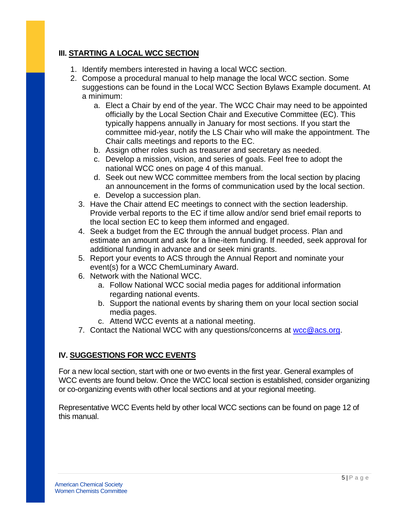# **III. STARTING A LOCAL WCC SECTION**

- 1. Identify members interested in having a local WCC section.
- 2. Compose a procedural manual to help manage the local WCC section. Some suggestions can be found in the Local WCC Section Bylaws Example document. At a minimum:
	- a. Elect a Chair by end of the year. The WCC Chair may need to be appointed officially by the Local Section Chair and Executive Committee (EC). This typically happens annually in January for most sections. If you start the committee mid-year, notify the LS Chair who will make the appointment. The Chair calls meetings and reports to the EC.
	- b. Assign other roles such as treasurer and secretary as needed.
	- c. Develop a mission, vision, and series of goals. Feel free to adopt the national WCC ones on page 4 of this manual.
	- d. Seek out new WCC committee members from the local section by placing an announcement in the forms of communication used by the local section.
	- e. Develop a succession plan.
	- 3. Have the Chair attend EC meetings to connect with the section leadership. Provide verbal reports to the EC if time allow and/or send brief email reports to the local section EC to keep them informed and engaged.
	- 4. Seek a budget from the EC through the annual budget process. Plan and estimate an amount and ask for a line-item funding. If needed, seek approval for additional funding in advance and or seek mini grants.
	- 5. Report your events to ACS through the Annual Report and nominate your event(s) for a WCC ChemLuminary Award.
	- 6. Network with the National WCC.
		- a. Follow National WCC social media pages for additional information regarding national events.
		- b. Support the national events by sharing them on your local section social media pages.
		- c. Attend WCC events at a national meeting.
	- 7. Contact the National WCC with any questions/concerns at [wcc@acs.org.](mailto:wcc@acs.org)

# **IV. SUGGESTIONS FOR WCC EVENTS**

For a new local section, start with one or two events in the first year. General examples of WCC events are found below. Once the WCC local section is established, consider organizing or co-organizing events with other local sections and at your regional meeting.

Representative WCC Events held by other local WCC sections can be found on page 12 of this manual.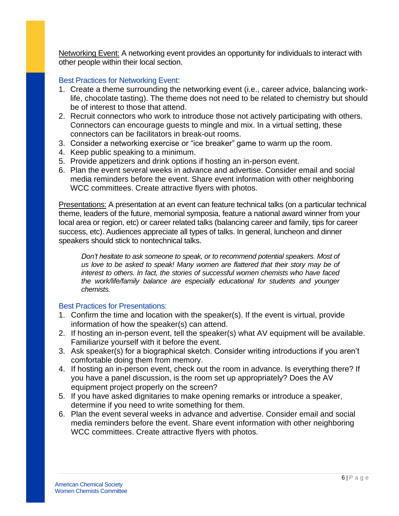Networking Event: A networking event provides an opportunity for individuals to interact with other people within their local section.

## Best Practices for Networking Event:

- 1. Create a theme surrounding the networking event (i.e., career advice, balancing worklife, chocolate tasting). The theme does not need to be related to chemistry but should be of interest to those that attend.
- 2. Recruit connectors who work to introduce those not actively participating with others. Connectors can encourage guests to mingle and mix. In a virtual setting, these connectors can be facilitators in break-out rooms.
- 3. Consider a networking exercise or "ice breaker" game to warm up the room.
- 4. Keep public speaking to a minimum.
- 5. Provide appetizers and drink options if hosting an in-person event.
- 6. Plan the event several weeks in advance and advertise. Consider email and social media reminders before the event. Share event information with other neighboring WCC committees. Create attractive flyers with photos.

Presentations: A presentation at an event can feature technical talks (on a particular technical theme, leaders of the future, memorial symposia, feature a national award winner from your local area or region, etc) or career related talks (balancing career and family, tips for career success, etc). Audiences appreciate all types of talks. In general, luncheon and dinner speakers should stick to nontechnical talks.

*Don't hesitate to ask someone to speak, or to recommend potential speakers. Most of us love to be asked to speak! Many women are flattered that their story may be of interest to others. In fact, the stories of successful women chemists who have faced the work/life/family balance are especially educational for students and younger chemists.*

## Best Practices for Presentations:

- 1. Confirm the time and location with the speaker(s). If the event is virtual, provide information of how the speaker(s) can attend.
- 2. If hosting an in-person event, tell the speaker(s) what AV equipment will be available. Familiarize yourself with it before the event.
- 3. Ask speaker(s) for a biographical sketch. Consider writing introductions if you aren't comfortable doing them from memory.
- 4. If hosting an in-person event, check out the room in advance. Is everything there? If you have a panel discussion, is the room set up appropriately? Does the AV equipment project properly on the screen?
- 5. If you have asked dignitaries to make opening remarks or introduce a speaker, determine if you need to write something for them.
- 6. Plan the event several weeks in advance and advertise. Consider email and social media reminders before the event. Share event information with other neighboring WCC committees. Create attractive flyers with photos.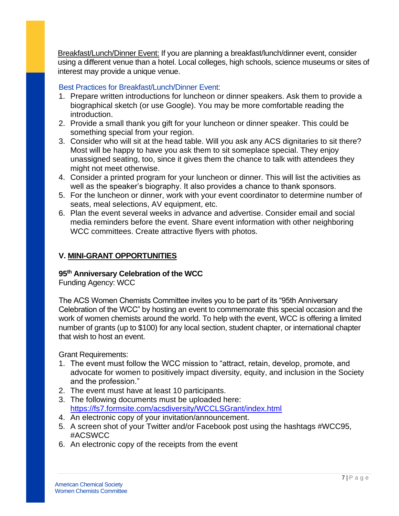Breakfast/Lunch/Dinner Event: If you are planning a breakfast/lunch/dinner event, consider using a different venue than a hotel. Local colleges, high schools, science museums or sites of interest may provide a unique venue.

## Best Practices for Breakfast/Lunch/Dinner Event:

- 1. Prepare written introductions for luncheon or dinner speakers. Ask them to provide a biographical sketch (or use Google). You may be more comfortable reading the introduction.
- 2. Provide a small thank you gift for your luncheon or dinner speaker. This could be something special from your region.
- 3. Consider who will sit at the head table. Will you ask any ACS dignitaries to sit there? Most will be happy to have you ask them to sit someplace special. They enjoy unassigned seating, too, since it gives them the chance to talk with attendees they might not meet otherwise.
- 4. Consider a printed program for your luncheon or dinner. This will list the activities as well as the speaker's biography. It also provides a chance to thank sponsors.
- 5. For the luncheon or dinner, work with your event coordinator to determine number of seats, meal selections, AV equipment, etc.
- 6. Plan the event several weeks in advance and advertise. Consider email and social media reminders before the event. Share event information with other neighboring WCC committees. Create attractive flyers with photos.

## **V. MINI-GRANT OPPORTUNITIES**

## **95th Anniversary Celebration of the WCC**

Funding Agency: WCC

The ACS Women Chemists Committee invites you to be part of its "95th Anniversary Celebration of the WCC" by hosting an event to commemorate this special occasion and the work of women chemists around the world. To help with the event, WCC is offering a limited number of grants (up to \$100) for any local section, student chapter, or international chapter that wish to host an event.

Grant Requirements:

- 1. The event must follow the WCC mission to "attract, retain, develop, promote, and advocate for women to positively impact diversity, equity, and inclusion in the Society and the profession."
- 2. The event must have at least 10 participants.
- 3. The following documents must be uploaded here: <https://fs7.formsite.com/acsdiversity/WCCLSGrant/index.html>
- 4. An electronic copy of your invitation/announcement.
- 5. A screen shot of your Twitter and/or Facebook post using the hashtags #WCC95, #ACSWCC
- 6. An electronic copy of the receipts from the event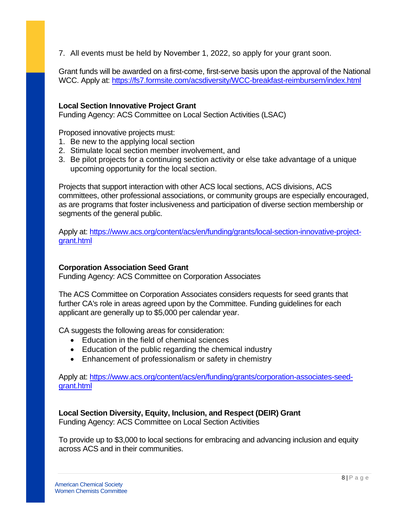7. All events must be held by November 1, 2022, so apply for your grant soon.

Grant funds will be awarded on a first-come, first-serve basis upon the approval of the National WCC. Apply at:<https://fs7.formsite.com/acsdiversity/WCC-breakfast-reimbursem/index.html>

#### **Local Section Innovative Project Grant**

Funding Agency: ACS Committee on Local Section Activities (LSAC)

Proposed innovative projects must:

- 1. Be new to the applying local section
- 2. Stimulate local section member involvement, and
- 3. Be pilot projects for a continuing section activity or else take advantage of a unique upcoming opportunity for the local section.

Projects that support interaction with other ACS local sections, ACS divisions, ACS committees, other professional associations, or community groups are especially encouraged, as are programs that foster inclusiveness and participation of diverse section membership or segments of the general public.

Apply at: [https://www.acs.org/content/acs/en/funding/grants/local-section-innovative-project](https://www.acs.org/content/acs/en/funding/grants/local-section-innovative-project-grant.html)[grant.html](https://www.acs.org/content/acs/en/funding/grants/local-section-innovative-project-grant.html)

#### **Corporation Association Seed Grant**

Funding Agency: ACS Committee on Corporation Associates

The ACS Committee on Corporation Associates considers requests for seed grants that further CA's role in areas agreed upon by the Committee. Funding guidelines for each applicant are generally up to \$5,000 per calendar year.

CA suggests the following areas for consideration:

- Education in the field of chemical sciences
- Education of the public regarding the chemical industry
- Enhancement of professionalism or safety in chemistry

Apply at: [https://www.acs.org/content/acs/en/funding/grants/corporation-associates-seed](https://www.acs.org/content/acs/en/funding/grants/corporation-associates-seed-grant.html)[grant.html](https://www.acs.org/content/acs/en/funding/grants/corporation-associates-seed-grant.html)

#### **Local Section Diversity, Equity, Inclusion, and Respect (DEIR) Grant**

Funding Agency: ACS Committee on Local Section Activities

To provide up to \$3,000 to local sections for embracing and advancing inclusion and equity across ACS and in their communities.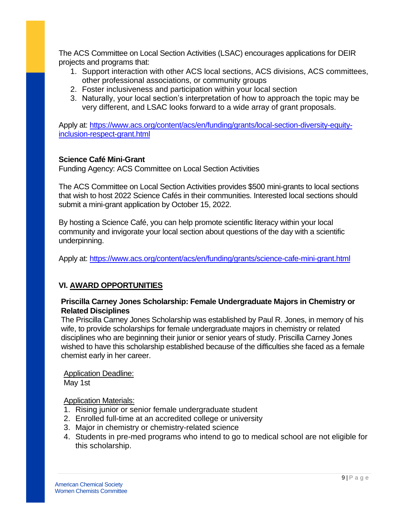The ACS Committee on Local Section Activities (LSAC) encourages applications for DEIR projects and programs that:

- 1. Support interaction with other ACS local sections, ACS divisions, ACS committees, other professional associations, or community groups
- 2. Foster inclusiveness and participation within your local section
- 3. Naturally, your local section's interpretation of how to approach the topic may be very different, and LSAC looks forward to a wide array of grant proposals.

Apply at: [https://www.acs.org/content/acs/en/funding/grants/local-section-diversity-equity](https://www.acs.org/content/acs/en/funding/grants/local-section-diversity-equity-inclusion-respect-grant.html)[inclusion-respect-grant.html](https://www.acs.org/content/acs/en/funding/grants/local-section-diversity-equity-inclusion-respect-grant.html)

## **Science Café Mini-Grant**

Funding Agency: ACS Committee on Local Section Activities

The ACS Committee on Local Section Activities provides \$500 mini-grants to local sections that wish to host 2022 Science Cafés in their communities. Interested local sections should submit a mini-grant application by October 15, 2022.

By hosting a Science Café, you can help promote scientific literacy within your local community and invigorate your local section about questions of the day with a scientific underpinning.

Apply at:<https://www.acs.org/content/acs/en/funding/grants/science-cafe-mini-grant.html>

## **VI. AWARD OPPORTUNITIES**

## **Priscilla Carney Jones Scholarship: Female Undergraduate Majors in Chemistry or Related Disciplines**

The Priscilla Carney Jones Scholarship was established by Paul R. Jones, in memory of his wife, to provide scholarships for female undergraduate majors in chemistry or related disciplines who are beginning their junior or senior years of study. Priscilla Carney Jones wished to have this scholarship established because of the difficulties she faced as a female chemist early in her career.

## Application Deadline:

May 1st

## Application Materials:

- 1. Rising junior or senior female undergraduate student
- 2. Enrolled full-time at an accredited college or university
- 3. Major in chemistry or chemistry-related science
- 4. Students in pre-med programs who intend to go to medical school are not eligible for this scholarship.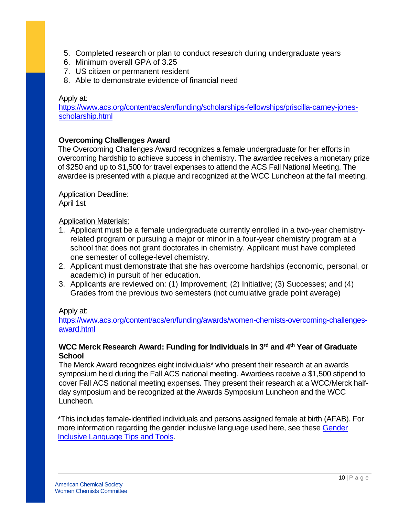- 5. Completed research or plan to conduct research during undergraduate years
- 6. Minimum overall GPA of 3.25
- 7. US citizen or permanent resident
- 8. Able to demonstrate evidence of financial need

#### Apply at:

[https://www.acs.org/content/acs/en/funding/scholarships-fellowships/priscilla-carney-jones](https://www.acs.org/content/acs/en/funding/scholarships-fellowships/priscilla-carney-jones-scholarship.html)[scholarship.html](https://www.acs.org/content/acs/en/funding/scholarships-fellowships/priscilla-carney-jones-scholarship.html)

## **Overcoming Challenges Award**

The Overcoming Challenges Award recognizes a female undergraduate for her efforts in overcoming hardship to achieve success in chemistry. The awardee receives a monetary prize of \$250 and up to \$1,500 for travel expenses to attend the ACS Fall National Meeting. The awardee is presented with a plaque and recognized at the WCC Luncheon at the fall meeting.

#### Application Deadline:

April 1st

#### Application Materials:

- 1. Applicant must be a female undergraduate currently enrolled in a two-year chemistryrelated program or pursuing a major or minor in a four-year chemistry program at a school that does not grant doctorates in chemistry. Applicant must have completed one semester of college-level chemistry.
- 2. Applicant must demonstrate that she has overcome hardships (economic, personal, or academic) in pursuit of her education.
- 3. Applicants are reviewed on: (1) Improvement; (2) Initiative; (3) Successes; and (4) Grades from the previous two semesters (not cumulative grade point average)

#### Apply at:

[https://www.acs.org/content/acs/en/funding/awards/women-chemists-overcoming-challenges](https://www.acs.org/content/acs/en/funding/awards/women-chemists-overcoming-challenges-award.html)[award.html](https://www.acs.org/content/acs/en/funding/awards/women-chemists-overcoming-challenges-award.html)

## **WCC Merck Research Award: Funding for Individuals in 3rd and 4th Year of Graduate School**

The Merck Award recognizes eight individuals\* who present their research at an awards symposium held during the Fall ACS national meeting. Awardees receive a \$1,500 stipend to cover Fall ACS national meeting expenses. They present their research at a WCC/Merck halfday symposium and be recognized at the Awards Symposium Luncheon and the WCC Luncheon.

\*This includes female-identified individuals and persons assigned female at birth (AFAB). For more information regarding the gender inclusive language used here, see these Gender [Inclusive Language Tips and Tools.](https://writingcenter.unc.edu/tips-and-tools/gender-inclusive-language/)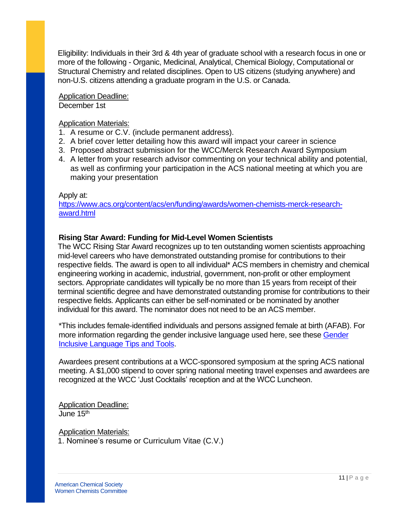Eligibility: Individuals in their 3rd & 4th year of graduate school with a research focus in one or more of the following - Organic, Medicinal, Analytical, Chemical Biology, Computational or Structural Chemistry and related disciplines. Open to US citizens (studying anywhere) and non-U.S. citizens attending a graduate program in the U.S. or Canada.

Application Deadline: December 1st

Application Materials:

- 1. A resume or C.V. (include permanent address).
- 2. A brief cover letter detailing how this award will impact your career in science
- 3. Proposed abstract submission for the WCC/Merck Research Award Symposium
- 4. A letter from your research advisor commenting on your technical ability and potential, as well as confirming your participation in the ACS national meeting at which you are making your presentation

#### Apply at:

[https://www.acs.org/content/acs/en/funding/awards/women-chemists-merck-research](https://www.acs.org/content/acs/en/funding/awards/women-chemists-merck-research-award.html)[award.html](https://www.acs.org/content/acs/en/funding/awards/women-chemists-merck-research-award.html)

## **Rising Star Award: Funding for Mid-Level Women Scientists**

The WCC Rising Star Award recognizes up to ten outstanding women scientists approaching mid-level careers who have demonstrated outstanding promise for contributions to their respective fields. The award is open to all individual\* ACS members in chemistry and chemical engineering working in academic, industrial, government, non-profit or other employment sectors. Appropriate candidates will typically be no more than 15 years from receipt of their terminal scientific degree and have demonstrated outstanding promise for contributions to their respective fields. Applicants can either be self-nominated or be nominated by another individual for this award. The nominator does not need to be an ACS member.

\*This includes female-identified individuals and persons assigned female at birth (AFAB). For more information regarding the gender inclusive language used here, see these Gender [Inclusive Language Tips and Tools.](https://writingcenter.unc.edu/tips-and-tools/gender-inclusive-language/)

Awardees present contributions at a WCC-sponsored symposium at the spring ACS national meeting. A \$1,000 stipend to cover spring national meeting travel expenses and awardees are recognized at the WCC 'Just Cocktails' reception and at the WCC Luncheon.

Application Deadline: June 15<sup>th</sup>

Application Materials: 1. Nominee's resume or Curriculum Vitae (C.V.)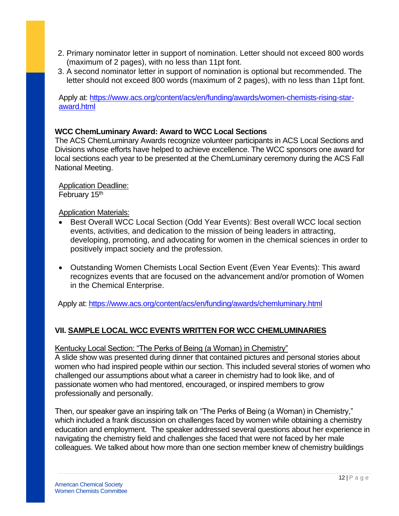- 2. Primary nominator letter in support of nomination. Letter should not exceed 800 words (maximum of 2 pages), with no less than 11pt font.
- 3. A second nominator letter in support of nomination is optional but recommended. The letter should not exceed 800 words (maximum of 2 pages), with no less than 11pt font.

Apply at: [https://www.acs.org/content/acs/en/funding/awards/women-chemists-rising-star](https://www.acs.org/content/acs/en/funding/awards/women-chemists-rising-star-award.html)[award.html](https://www.acs.org/content/acs/en/funding/awards/women-chemists-rising-star-award.html)

## **WCC ChemLuminary Award: Award to WCC Local Sections**

The ACS ChemLuminary Awards recognize volunteer participants in ACS Local Sections and Divisions whose efforts have helped to achieve excellence. The WCC sponsors one award for local sections each year to be presented at the ChemLuminary ceremony during the ACS Fall National Meeting.

**Application Deadline:** February 15<sup>th</sup>

Application Materials:

- Best Overall WCC Local Section (Odd Year Events): Best overall WCC local section events, activities, and dedication to the mission of being leaders in attracting, developing, promoting, and advocating for women in the chemical sciences in order to positively impact society and the profession.
- Outstanding Women Chemists Local Section Event (Even Year Events): This award recognizes events that are focused on the advancement and/or promotion of Women in the Chemical Enterprise.

Apply at:<https://www.acs.org/content/acs/en/funding/awards/chemluminary.html>

# **VII. SAMPLE LOCAL WCC EVENTS WRITTEN FOR WCC CHEMLUMINARIES**

Kentucky Local Section: "The Perks of Being (a Woman) in Chemistry"

A slide show was presented during dinner that contained pictures and personal stories about women who had inspired people within our section. This included several stories of women who challenged our assumptions about what a career in chemistry had to look like, and of passionate women who had mentored, encouraged, or inspired members to grow professionally and personally.

Then, our speaker gave an inspiring talk on "The Perks of Being (a Woman) in Chemistry," which included a frank discussion on challenges faced by women while obtaining a chemistry education and employment. The speaker addressed several questions about her experience in navigating the chemistry field and challenges she faced that were not faced by her male colleagues. We talked about how more than one section member knew of chemistry buildings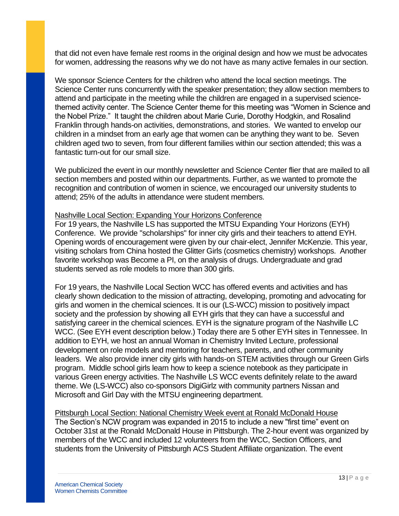that did not even have female rest rooms in the original design and how we must be advocates for women, addressing the reasons why we do not have as many active females in our section.

We sponsor Science Centers for the children who attend the local section meetings. The Science Center runs concurrently with the speaker presentation; they allow section members to attend and participate in the meeting while the children are engaged in a supervised sciencethemed activity center. The Science Center theme for this meeting was "Women in Science and the Nobel Prize." It taught the children about Marie Curie, Dorothy Hodgkin, and Rosalind Franklin through hands-on activities, demonstrations, and stories. We wanted to envelop our children in a mindset from an early age that women can be anything they want to be. Seven children aged two to seven, from four different families within our section attended; this was a fantastic turn-out for our small size.

We publicized the event in our monthly newsletter and Science Center flier that are mailed to all section members and posted within our departments. Further, as we wanted to promote the recognition and contribution of women in science, we encouraged our university students to attend; 25% of the adults in attendance were student members.

#### Nashville Local Section: Expanding Your Horizons Conference

For 19 years, the Nashville LS has supported the MTSU Expanding Your Horizons (EYH) Conference. We provide "scholarships" for inner city girls and their teachers to attend EYH. Opening words of encouragement were given by our chair-elect, Jennifer McKenzie. This year, visiting scholars from China hosted the Glitter Girls (cosmetics chemistry) workshops. Another favorite workshop was Become a PI, on the analysis of drugs. Undergraduate and grad students served as role models to more than 300 girls.

For 19 years, the Nashville Local Section WCC has offered events and activities and has clearly shown dedication to the mission of attracting, developing, promoting and advocating for girls and women in the chemical sciences. It is our (LS-WCC) mission to positively impact society and the profession by showing all EYH girls that they can have a successful and satisfying career in the chemical sciences. EYH is the signature program of the Nashville LC WCC. (See EYH event description below.) Today there are 5 other EYH sites in Tennessee. In addition to EYH, we host an annual Woman in Chemistry Invited Lecture, professional development on role models and mentoring for teachers, parents, and other community leaders. We also provide inner city girls with hands-on STEM activities through our Green Girls program. Middle school girls learn how to keep a science notebook as they participate in various Green energy activities. The Nashville LS WCC events definitely relate to the award theme. We (LS-WCC) also co-sponsors DigiGirlz with community partners Nissan and Microsoft and Girl Day with the MTSU engineering department.

Pittsburgh Local Section: National Chemistry Week event at Ronald McDonald House The Section's NCW program was expanded in 2015 to include a new "first time" event on October 31st at the Ronald McDonald House in Pittsburgh. The 2-hour event was organized by members of the WCC and included 12 volunteers from the WCC, Section Officers, and students from the University of Pittsburgh ACS Student Affiliate organization. The event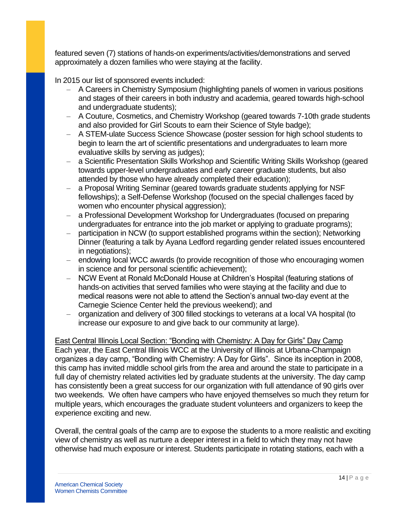featured seven (7) stations of hands-on experiments/activities/demonstrations and served approximately a dozen families who were staying at the facility.

In 2015 our list of sponsored events included:

- A Careers in Chemistry Symposium (highlighting panels of women in various positions and stages of their careers in both industry and academia, geared towards high-school and undergraduate students);
- A Couture, Cosmetics, and Chemistry Workshop (geared towards 7-10th grade students and also provided for Girl Scouts to earn their Science of Style badge);
- A STEM-ulate Success Science Showcase (poster session for high school students to begin to learn the art of scientific presentations and undergraduates to learn more evaluative skills by serving as judges);
- a Scientific Presentation Skills Workshop and Scientific Writing Skills Workshop (geared towards upper-level undergraduates and early career graduate students, but also attended by those who have already completed their education);
- a Proposal Writing Seminar (geared towards graduate students applying for NSF fellowships); a Self-Defense Workshop (focused on the special challenges faced by women who encounter physical aggression);
- a Professional Development Workshop for Undergraduates (focused on preparing undergraduates for entrance into the job market or applying to graduate programs);
- participation in NCW (to support established programs within the section); Networking Dinner (featuring a talk by Ayana Ledford regarding gender related issues encountered in negotiations);
- endowing local WCC awards (to provide recognition of those who encouraging women in science and for personal scientific achievement);
- NCW Event at Ronald McDonald House at Children's Hospital (featuring stations of hands-on activities that served families who were staying at the facility and due to medical reasons were not able to attend the Section's annual two-day event at the Carnegie Science Center held the previous weekend); and
- organization and delivery of 300 filled stockings to veterans at a local VA hospital (to increase our exposure to and give back to our community at large).

East Central Illinois Local Section: "Bonding with Chemistry: A Day for Girls" Day Camp Each year, the East Central Illinois WCC at the University of Illinois at Urbana-Champaign organizes a day camp, "Bonding with Chemistry: A Day for Girls". Since its inception in 2008, this camp has invited middle school girls from the area and around the state to participate in a full day of chemistry related activities led by graduate students at the university. The day camp has consistently been a great success for our organization with full attendance of 90 girls over two weekends. We often have campers who have enjoyed themselves so much they return for multiple years, which encourages the graduate student volunteers and organizers to keep the experience exciting and new.

Overall, the central goals of the camp are to expose the students to a more realistic and exciting view of chemistry as well as nurture a deeper interest in a field to which they may not have otherwise had much exposure or interest. Students participate in rotating stations, each with a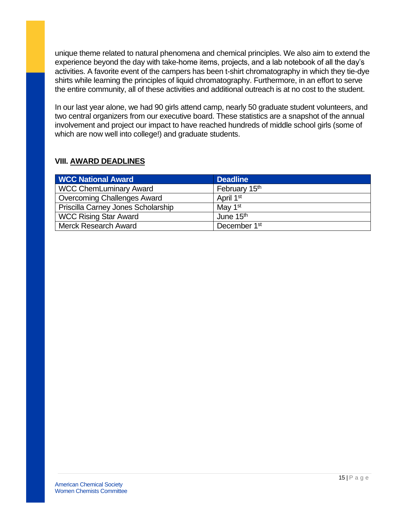unique theme related to natural phenomena and chemical principles. We also aim to extend the experience beyond the day with take-home items, projects, and a lab notebook of all the day's activities. A favorite event of the campers has been t-shirt chromatography in which they tie-dye shirts while learning the principles of liquid chromatography. Furthermore, in an effort to serve the entire community, all of these activities and additional outreach is at no cost to the student.

In our last year alone, we had 90 girls attend camp, nearly 50 graduate student volunteers, and two central organizers from our executive board. These statistics are a snapshot of the annual involvement and project our impact to have reached hundreds of middle school girls (some of which are now well into college!) and graduate students.

## **VIII. AWARD DEADLINES**

| <b>WCC National Award</b>          | <b>Deadline</b>           |
|------------------------------------|---------------------------|
| <b>WCC ChemLuminary Award</b>      | February 15 <sup>th</sup> |
| <b>Overcoming Challenges Award</b> | April 1 <sup>st</sup>     |
| Priscilla Carney Jones Scholarship | May 1 <sup>st</sup>       |
| <b>WCC Rising Star Award</b>       | June 15 <sup>th</sup>     |
| <b>Merck Research Award</b>        | December 1 <sup>st</sup>  |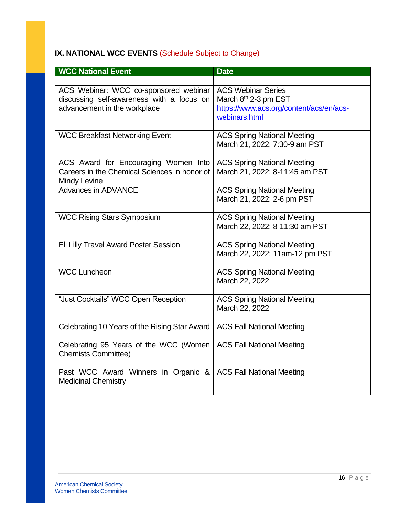# **IX. NATIONAL WCC EVENTS** (Schedule Subject to Change)

| <b>WCC National Event</b>                                                                                          | <b>Date</b>                                                                                                               |
|--------------------------------------------------------------------------------------------------------------------|---------------------------------------------------------------------------------------------------------------------------|
|                                                                                                                    |                                                                                                                           |
| ACS Webinar: WCC co-sponsored webinar<br>discussing self-awareness with a focus on<br>advancement in the workplace | <b>ACS Webinar Series</b><br>March 8 <sup>th</sup> 2-3 pm EST<br>https://www.acs.org/content/acs/en/acs-<br>webinars.html |
| <b>WCC Breakfast Networking Event</b>                                                                              | <b>ACS Spring National Meeting</b><br>March 21, 2022: 7:30-9 am PST                                                       |
| ACS Award for Encouraging Women Into<br>Careers in the Chemical Sciences in honor of<br>Mindy Levine               | <b>ACS Spring National Meeting</b><br>March 21, 2022: 8-11:45 am PST                                                      |
| Advances in ADVANCE                                                                                                | <b>ACS Spring National Meeting</b><br>March 21, 2022: 2-6 pm PST                                                          |
| <b>WCC Rising Stars Symposium</b>                                                                                  | <b>ACS Spring National Meeting</b><br>March 22, 2022: 8-11:30 am PST                                                      |
| Eli Lilly Travel Award Poster Session                                                                              | <b>ACS Spring National Meeting</b><br>March 22, 2022: 11am-12 pm PST                                                      |
| <b>WCC Luncheon</b>                                                                                                | <b>ACS Spring National Meeting</b><br>March 22, 2022                                                                      |
| "Just Cocktails" WCC Open Reception                                                                                | <b>ACS Spring National Meeting</b><br>March 22, 2022                                                                      |
| Celebrating 10 Years of the Rising Star Award                                                                      | <b>ACS Fall National Meeting</b>                                                                                          |
| Celebrating 95 Years of the WCC (Women<br><b>Chemists Committee)</b>                                               | <b>ACS Fall National Meeting</b>                                                                                          |
| Past WCC Award Winners in Organic &<br><b>Medicinal Chemistry</b>                                                  | <b>ACS Fall National Meeting</b>                                                                                          |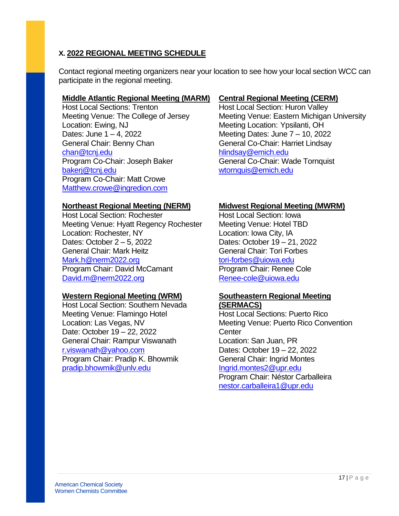## **X. 2022 REGIONAL MEETING SCHEDULE**

Contact regional meeting organizers near your location to see how your local section WCC can participate in the regional meeting.

## **Middle Atlantic Regional Meeting (MARM)**

Host Local Sections: Trenton Meeting Venue: The College of Jersey Location: Ewing, NJ Dates: June 1 – 4, 2022 General Chair: Benny Chan [chan@tcnj.edu](mailto:chan@tcnj.edu) Program Co-Chair: Joseph Baker [bakerj@tcnj.edu](mailto:bakerj@tcnj.edu) Program Co-Chair: Matt Crowe [Matthew.crowe@ingredion.com](mailto:Matthew.crowe@ingredion.com) 

## **Northeast Regional Meeting (NERM)**

Host Local Section: Rochester Meeting Venue: Hyatt Regency Rochester Location: Rochester, NY Dates: October 2 – 5, 2022 General Chair: Mark Heitz [Mark.h@nerm2022.org](mailto:Mark.h@nerm2022.org) Program Chair: David McCamant [David.m@nerm2022.org](mailto:David.m@nerm2022.org)

## **Western Regional Meeting (WRM)**

Host Local Section: Southern Nevada Meeting Venue: Flamingo Hotel Location: Las Vegas, NV Date: October 19 – 22, 2022 General Chair: Rampur Viswanath [r.viswanath@yahoo.com](mailto:r.viswanath@yahoo.com) Program Chair: Pradip K. Bhowmik [pradip.bhowmik@unlv.edu](mailto:pradip.bhowmik@unlv.edu)

## **Central Regional Meeting (CERM)**

Host Local Section: Huron Valley Meeting Venue: Eastern Michigan University Meeting Location: Ypsilanti, OH Meeting Dates: June 7 – 10, 2022 General Co-Chair: Harriet Lindsay [hlindsay@emich.edu](mailto:hlindsay@emich.edu) General Co-Chair: Wade Tornquist [wtornquis@emich.edu](mailto:wtornquis@emich.edu)

## **Midwest Regional Meeting (MWRM)**

Host Local Section: Iowa Meeting Venue: Hotel TBD Location: Iowa City, IA Dates: October 19 – 21, 2022 General Chair: Tori Forbes [tori-forbes@uiowa.edu](mailto:tori-forbes@uiowa.edu) Program Chair: Renee Cole [Renee-cole@uiowa.edu](mailto:Renee-cole@uiowa.edu)

#### **Southeastern Regional Meeting (SERMACS)**

Host Local Sections: Puerto Rico Meeting Venue: Puerto Rico Convention **Center** Location: San Juan, PR Dates: October 19 – 22, 2022 General Chair: Ingrid Montes [Ingrid.montes2@upr.edu](mailto:Ingrid.montes2@upr.edu) Program Chair: Néstor Carballeira [nestor.carballeira1@upr.edu](mailto:nestor.carballeira1@upr.edu)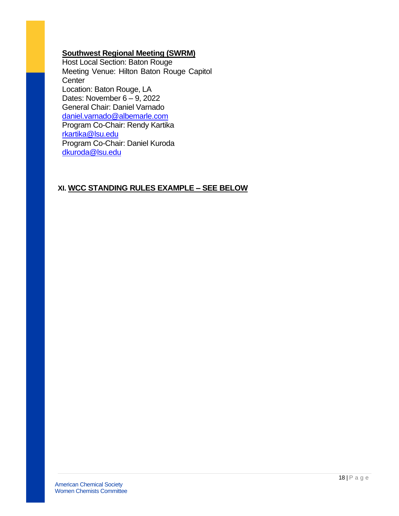## **Southwest Regional Meeting (SWRM)**

Host Local Section: Baton Rouge Meeting Venue: Hilton Baton Rouge Capitol **Center** Location: Baton Rouge, LA Dates: November  $6 - 9$ , 2022 General Chair: Daniel Varnado [daniel.varnado@albemarle.com](mailto:daniel.varnado@albemarle.com) Program Co-Chair: Rendy Kartika [rkartika@lsu.edu](mailto:rkartika@lsu.edu) Program Co-Chair: Daniel Kuroda [dkuroda@lsu.edu](mailto:dkuroda@lsu.edu)

## **XI. WCC STANDING RULES EXAMPLE – SEE BELOW**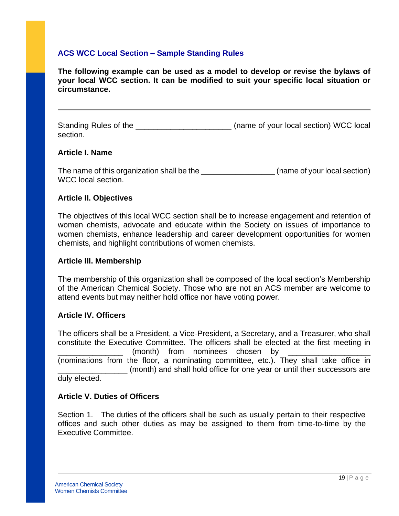## **ACS WCC Local Section – Sample Standing Rules**

**The following example can be used as a model to develop or revise the bylaws of your local WCC section. It can be modified to suit your specific local situation or circumstance.** 

Standing Rules of the **Exercise 20** (name of your local section) WCC local section.

#### **Article I. Name**

The name of this organization shall be the \_\_\_\_\_\_\_\_\_\_\_\_\_\_\_\_\_\_\_\_\_\_\_(name of your local section) WCC local section.

## **Article II. Objectives**

The objectives of this local WCC section shall be to increase engagement and retention of women chemists, advocate and educate within the Society on issues of importance to women chemists, enhance leadership and career development opportunities for women chemists, and highlight contributions of women chemists.

#### **Article III. Membership**

The membership of this organization shall be composed of the local section's Membership of the American Chemical Society. Those who are not an ACS member are welcome to attend events but may neither hold office nor have voting power.

#### **Article IV. Officers**

The officers shall be a President, a Vice-President, a Secretary, and a Treasurer, who shall constitute the Executive Committee. The officers shall be elected at the first meeting in (month) from nominees chosen by (nominations from the floor, a nominating committee, etc.). They shall take office in \_\_\_\_\_\_\_\_\_\_\_\_\_\_\_\_ (month) and shall hold office for one year or until their successors are

duly elected.

## **Article V. Duties of Officers**

Section 1. The duties of the officers shall be such as usually pertain to their respective offices and such other duties as may be assigned to them from time-to-time by the Executive Committee.